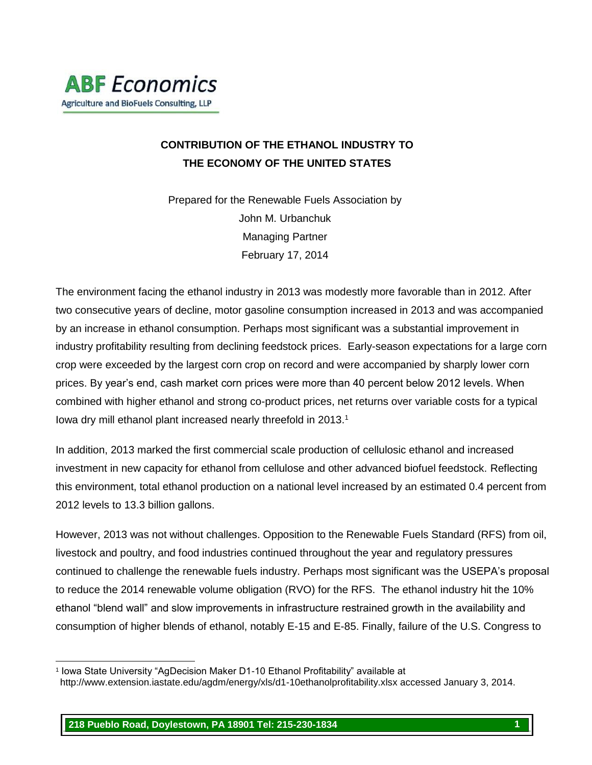## **CONTRIBUTION OF THE ETHANOL INDUSTRY TO THE ECONOMY OF THE UNITED STATES**

Prepared for the Renewable Fuels Association by John M. Urbanchuk Managing Partner February 17, 2014

The environment facing the ethanol industry in 2013 was modestly more favorable than in 2012. After two consecutive years of decline, motor gasoline consumption increased in 2013 and was accompanied by an increase in ethanol consumption. Perhaps most significant was a substantial improvement in industry profitability resulting from declining feedstock prices. Early-season expectations for a large corn crop were exceeded by the largest corn crop on record and were accompanied by sharply lower corn prices. By year's end, cash market corn prices were more than 40 percent below 2012 levels. When combined with higher ethanol and strong co-product prices, net returns over variable costs for a typical Iowa dry mill ethanol plant increased nearly threefold in 2013.<sup>1</sup>

In addition, 2013 marked the first commercial scale production of cellulosic ethanol and increased investment in new capacity for ethanol from cellulose and other advanced biofuel feedstock. Reflecting this environment, total ethanol production on a national level increased by an estimated 0.4 percent from 2012 levels to 13.3 billion gallons.

However, 2013 was not without challenges. Opposition to the Renewable Fuels Standard (RFS) from oil, livestock and poultry, and food industries continued throughout the year and regulatory pressures continued to challenge the renewable fuels industry. Perhaps most significant was the USEPA's proposal to reduce the 2014 renewable volume obligation (RVO) for the RFS. The ethanol industry hit the 10% ethanol "blend wall" and slow improvements in infrastructure restrained growth in the availability and consumption of higher blends of ethanol, notably E-15 and E-85. Finally, failure of the U.S. Congress to

l

<sup>1</sup> Iowa State University "AgDecision Maker D1-10 Ethanol Profitability" available at

http://www.extension.iastate.edu/agdm/energy/xls/d1-10ethanolprofitability.xlsx accessed January 3, 2014.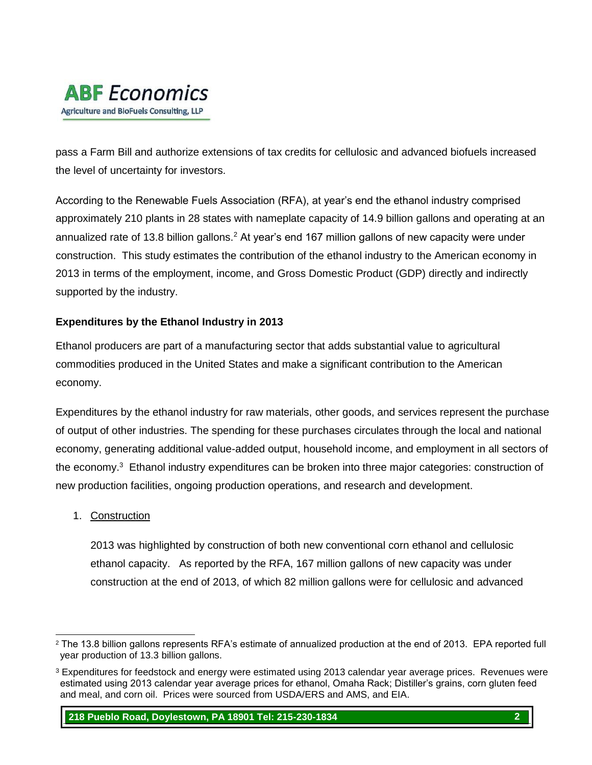

pass a Farm Bill and authorize extensions of tax credits for cellulosic and advanced biofuels increased the level of uncertainty for investors.

According to the Renewable Fuels Association (RFA), at year's end the ethanol industry comprised approximately 210 plants in 28 states with nameplate capacity of 14.9 billion gallons and operating at an annualized rate of 13.8 billion gallons.<sup>2</sup> At year's end 167 million gallons of new capacity were under construction. This study estimates the contribution of the ethanol industry to the American economy in 2013 in terms of the employment, income, and Gross Domestic Product (GDP) directly and indirectly supported by the industry.

### **Expenditures by the Ethanol Industry in 2013**

Ethanol producers are part of a manufacturing sector that adds substantial value to agricultural commodities produced in the United States and make a significant contribution to the American economy.

Expenditures by the ethanol industry for raw materials, other goods, and services represent the purchase of output of other industries. The spending for these purchases circulates through the local and national economy, generating additional value-added output, household income, and employment in all sectors of the economy.<sup>3</sup> Ethanol industry expenditures can be broken into three major categories: construction of new production facilities, ongoing production operations, and research and development.

#### 1. Construction

2013 was highlighted by construction of both new conventional corn ethanol and cellulosic ethanol capacity. As reported by the RFA, 167 million gallons of new capacity was under construction at the end of 2013, of which 82 million gallons were for cellulosic and advanced

l <sup>2</sup> The 13.8 billion gallons represents RFA's estimate of annualized production at the end of 2013. EPA reported full year production of 13.3 billion gallons.

<sup>3</sup> Expenditures for feedstock and energy were estimated using 2013 calendar year average prices. Revenues were estimated using 2013 calendar year average prices for ethanol, Omaha Rack; Distiller's grains, corn gluten feed and meal, and corn oil. Prices were sourced from USDA/ERS and AMS, and EIA.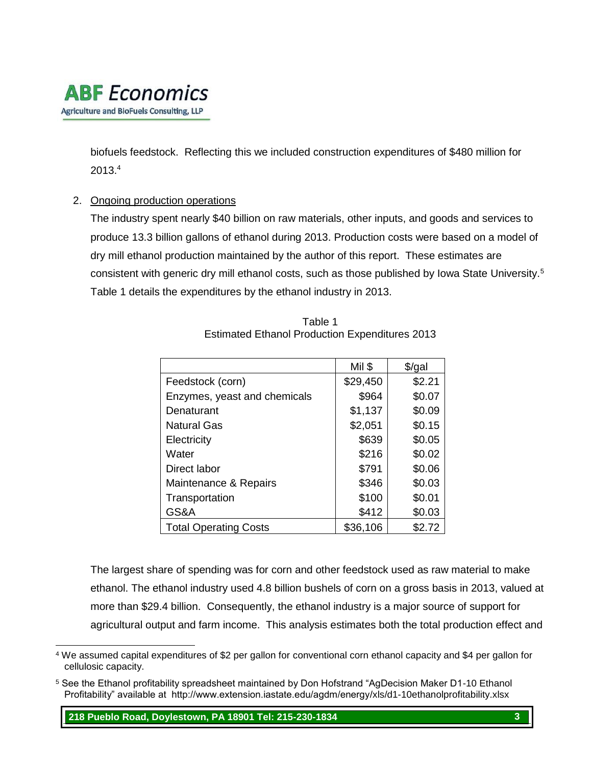# **ABF** Economics Agriculture and BioFuels Consulting, LLP

biofuels feedstock. Reflecting this we included construction expenditures of \$480 million for 2013.<sup>4</sup>

### 2. Ongoing production operations

The industry spent nearly \$40 billion on raw materials, other inputs, and goods and services to produce 13.3 billion gallons of ethanol during 2013. Production costs were based on a model of dry mill ethanol production maintained by the author of this report. These estimates are consistent with generic dry mill ethanol costs, such as those published by Iowa State University.<sup>5</sup> Table 1 details the expenditures by the ethanol industry in 2013.

|                              | Mil \$   | \$/gal |
|------------------------------|----------|--------|
| Feedstock (corn)             | \$29,450 | \$2.21 |
| Enzymes, yeast and chemicals | \$964    | \$0.07 |
| Denaturant                   | \$1,137  | \$0.09 |
| <b>Natural Gas</b>           | \$2,051  | \$0.15 |
| Electricity                  | \$639    | \$0.05 |
| Water                        | \$216    | \$0.02 |
| Direct labor                 | \$791    | \$0.06 |
| Maintenance & Repairs        | \$346    | \$0.03 |
| Transportation               | \$100    | \$0.01 |
| GS&A                         | \$412    | \$0.03 |
| <b>Total Operating Costs</b> | \$36,106 | \$2.72 |

Table 1 Estimated Ethanol Production Expenditures 2013

The largest share of spending was for corn and other feedstock used as raw material to make ethanol. The ethanol industry used 4.8 billion bushels of corn on a gross basis in 2013, valued at more than \$29.4 billion. Consequently, the ethanol industry is a major source of support for agricultural output and farm income. This analysis estimates both the total production effect and

l <sup>4</sup> We assumed capital expenditures of \$2 per gallon for conventional corn ethanol capacity and \$4 per gallon for cellulosic capacity.

<sup>5</sup> See the Ethanol profitability spreadsheet maintained by Don Hofstrand "AgDecision Maker D1-10 Ethanol Profitability" available at http://www.extension.iastate.edu/agdm/energy/xls/d1-10ethanolprofitability.xlsx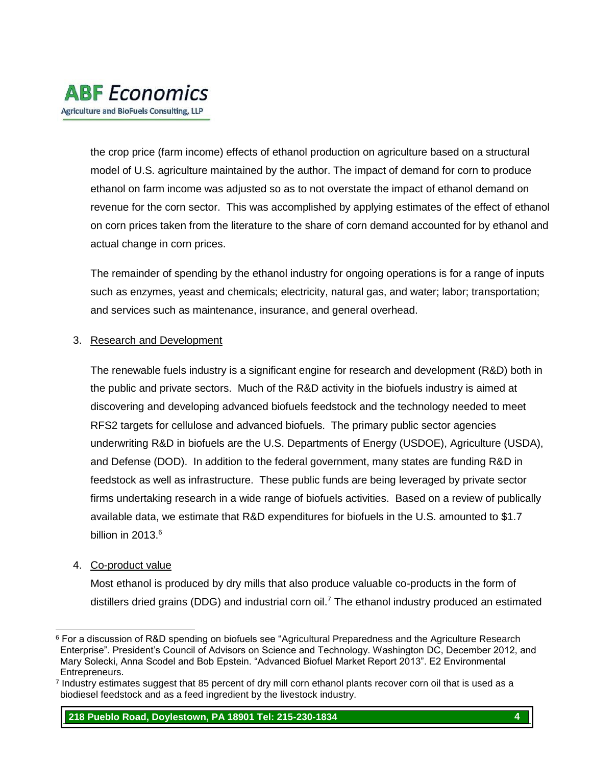

the crop price (farm income) effects of ethanol production on agriculture based on a structural model of U.S. agriculture maintained by the author. The impact of demand for corn to produce ethanol on farm income was adjusted so as to not overstate the impact of ethanol demand on revenue for the corn sector. This was accomplished by applying estimates of the effect of ethanol on corn prices taken from the literature to the share of corn demand accounted for by ethanol and actual change in corn prices.

The remainder of spending by the ethanol industry for ongoing operations is for a range of inputs such as enzymes, yeast and chemicals; electricity, natural gas, and water; labor; transportation; and services such as maintenance, insurance, and general overhead.

#### 3. Research and Development

The renewable fuels industry is a significant engine for research and development (R&D) both in the public and private sectors. Much of the R&D activity in the biofuels industry is aimed at discovering and developing advanced biofuels feedstock and the technology needed to meet RFS2 targets for cellulose and advanced biofuels. The primary public sector agencies underwriting R&D in biofuels are the U.S. Departments of Energy (USDOE), Agriculture (USDA), and Defense (DOD). In addition to the federal government, many states are funding R&D in feedstock as well as infrastructure. These public funds are being leveraged by private sector firms undertaking research in a wide range of biofuels activities. Based on a review of publically available data, we estimate that R&D expenditures for biofuels in the U.S. amounted to \$1.7 billion in 2013. $6$ 

#### 4. Co-product value

Most ethanol is produced by dry mills that also produce valuable co-products in the form of distillers dried grains (DDG) and industrial corn oil.<sup>7</sup> The ethanol industry produced an estimated

l <sup>6</sup> For a discussion of R&D spending on biofuels see "Agricultural Preparedness and the Agriculture Research Enterprise". President's Council of Advisors on Science and Technology. Washington DC, December 2012, and Mary Solecki, Anna Scodel and Bob Epstein. "Advanced Biofuel Market Report 2013". E2 Environmental Entrepreneurs.

<sup>7</sup> Industry estimates suggest that 85 percent of dry mill corn ethanol plants recover corn oil that is used as a biodiesel feedstock and as a feed ingredient by the livestock industry.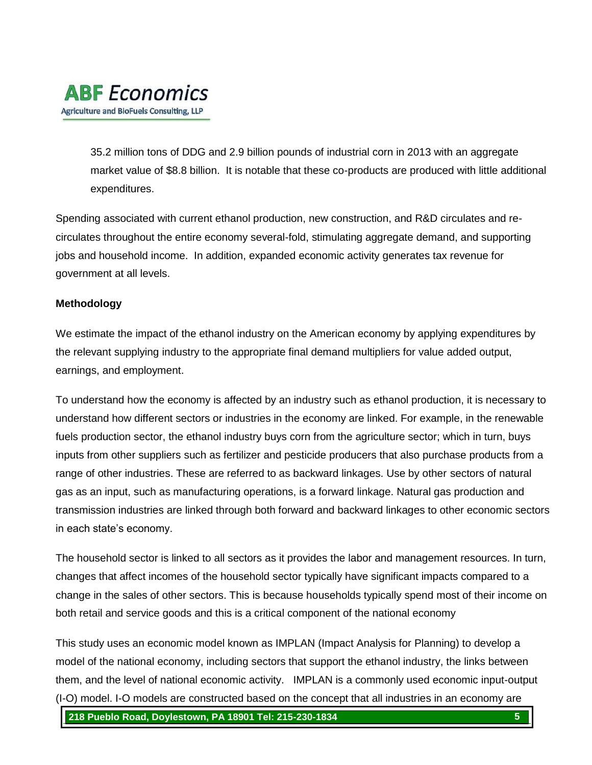

35.2 million tons of DDG and 2.9 billion pounds of industrial corn in 2013 with an aggregate market value of \$8.8 billion. It is notable that these co-products are produced with little additional expenditures.

Spending associated with current ethanol production, new construction, and R&D circulates and recirculates throughout the entire economy several-fold, stimulating aggregate demand, and supporting jobs and household income. In addition, expanded economic activity generates tax revenue for government at all levels.

#### **Methodology**

We estimate the impact of the ethanol industry on the American economy by applying expenditures by the relevant supplying industry to the appropriate final demand multipliers for value added output, earnings, and employment.

To understand how the economy is affected by an industry such as ethanol production, it is necessary to understand how different sectors or industries in the economy are linked. For example, in the renewable fuels production sector, the ethanol industry buys corn from the agriculture sector; which in turn, buys inputs from other suppliers such as fertilizer and pesticide producers that also purchase products from a range of other industries. These are referred to as backward linkages. Use by other sectors of natural gas as an input, such as manufacturing operations, is a forward linkage. Natural gas production and transmission industries are linked through both forward and backward linkages to other economic sectors in each state's economy.

The household sector is linked to all sectors as it provides the labor and management resources. In turn, changes that affect incomes of the household sector typically have significant impacts compared to a change in the sales of other sectors. This is because households typically spend most of their income on both retail and service goods and this is a critical component of the national economy

This study uses an economic model known as IMPLAN (Impact Analysis for Planning) to develop a model of the national economy, including sectors that support the ethanol industry, the links between them, and the level of national economic activity. IMPLAN is a commonly used economic input-output (I-O) model. I-O models are constructed based on the concept that all industries in an economy are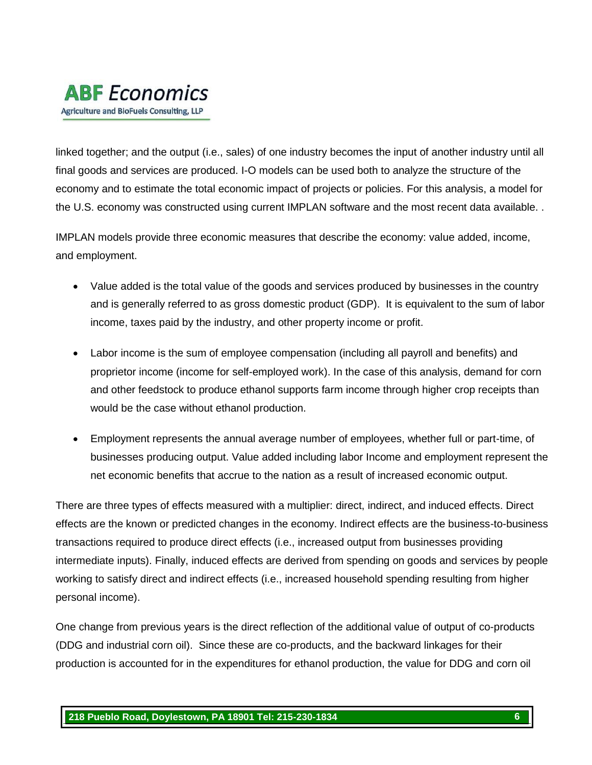# **ABF** Economics Agriculture and BioFuels Consulting, LLP

linked together; and the output (i.e., sales) of one industry becomes the input of another industry until all final goods and services are produced. I-O models can be used both to analyze the structure of the economy and to estimate the total economic impact of projects or policies. For this analysis, a model for the U.S. economy was constructed using current IMPLAN software and the most recent data available. .

IMPLAN models provide three economic measures that describe the economy: value added, income, and employment.

- Value added is the total value of the goods and services produced by businesses in the country and is generally referred to as gross domestic product (GDP). It is equivalent to the sum of labor income, taxes paid by the industry, and other property income or profit.
- Labor income is the sum of employee compensation (including all payroll and benefits) and proprietor income (income for self-employed work). In the case of this analysis, demand for corn and other feedstock to produce ethanol supports farm income through higher crop receipts than would be the case without ethanol production.
- Employment represents the annual average number of employees, whether full or part-time, of businesses producing output. Value added including labor Income and employment represent the net economic benefits that accrue to the nation as a result of increased economic output.

There are three types of effects measured with a multiplier: direct, indirect, and induced effects. Direct effects are the known or predicted changes in the economy. Indirect effects are the business-to-business transactions required to produce direct effects (i.e., increased output from businesses providing intermediate inputs). Finally, induced effects are derived from spending on goods and services by people working to satisfy direct and indirect effects (i.e., increased household spending resulting from higher personal income).

One change from previous years is the direct reflection of the additional value of output of co-products (DDG and industrial corn oil). Since these are co-products, and the backward linkages for their production is accounted for in the expenditures for ethanol production, the value for DDG and corn oil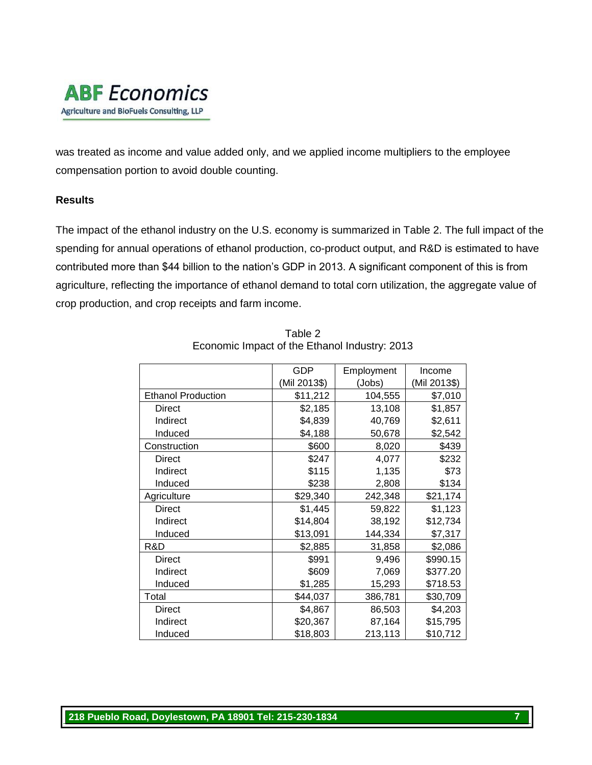

was treated as income and value added only, and we applied income multipliers to the employee compensation portion to avoid double counting.

#### **Results**

The impact of the ethanol industry on the U.S. economy is summarized in Table 2. The full impact of the spending for annual operations of ethanol production, co-product output, and R&D is estimated to have contributed more than \$44 billion to the nation's GDP in 2013. A significant component of this is from agriculture, reflecting the importance of ethanol demand to total corn utilization, the aggregate value of crop production, and crop receipts and farm income.

|                           | <b>GDP</b>   | Employment | Income       |
|---------------------------|--------------|------------|--------------|
|                           | (Mil 2013\$) | (Jobs)     | (Mil 2013\$) |
| <b>Ethanol Production</b> | \$11,212     | 104,555    | \$7,010      |
| Direct                    | \$2,185      | 13,108     | \$1,857      |
| Indirect                  | \$4,839      | 40,769     | \$2,611      |
| Induced                   | \$4,188      | 50,678     | \$2,542      |
| Construction              | \$600        | 8,020      | \$439        |
| <b>Direct</b>             | \$247        | 4,077      | \$232        |
| Indirect                  | \$115        | 1,135      | \$73         |
| Induced                   | \$238        | 2,808      | \$134        |
| Agriculture               | \$29,340     | 242,348    | \$21,174     |
| <b>Direct</b>             | \$1,445      | 59,822     | \$1,123      |
| Indirect                  | \$14,804     | 38,192     | \$12,734     |
| Induced                   | \$13,091     | 144,334    | \$7,317      |
| R&D                       | \$2,885      | 31,858     | \$2,086      |
| <b>Direct</b>             | \$991        | 9,496      | \$990.15     |
| Indirect                  | \$609        | 7,069      | \$377.20     |
| Induced                   | \$1,285      | 15,293     | \$718.53     |
| Total                     | \$44,037     | 386,781    | \$30,709     |
| Direct                    | \$4,867      | 86,503     | \$4,203      |
| Indirect                  | \$20,367     | 87,164     | \$15,795     |
| Induced                   | \$18,803     | 213,113    | \$10,712     |

Table 2 Economic Impact of the Ethanol Industry: 2013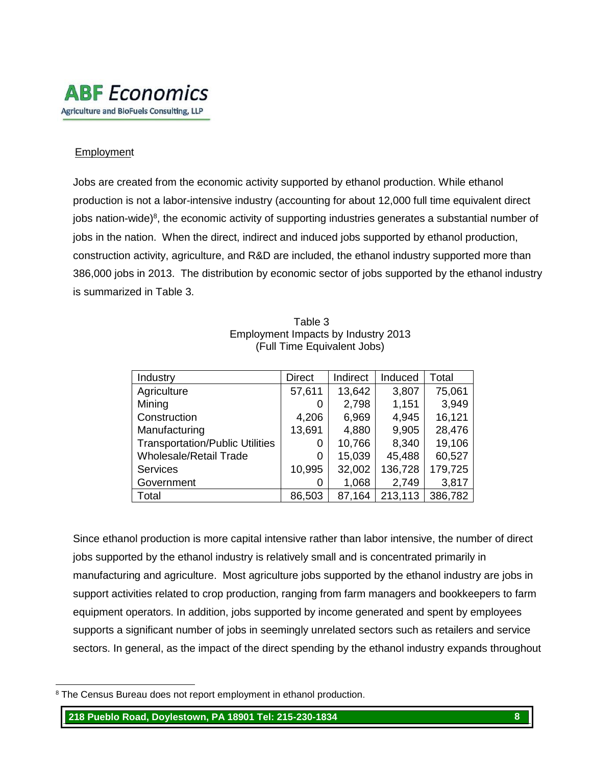

#### Employment

Jobs are created from the economic activity supported by ethanol production. While ethanol production is not a labor-intensive industry (accounting for about 12,000 full time equivalent direct jobs nation-wide)<sup>8</sup>, the economic activity of supporting industries generates a substantial number of jobs in the nation. When the direct, indirect and induced jobs supported by ethanol production, construction activity, agriculture, and R&D are included, the ethanol industry supported more than 386,000 jobs in 2013. The distribution by economic sector of jobs supported by the ethanol industry is summarized in Table 3.

| Industry                               | <b>Direct</b> | Indirect | Induced | Total   |
|----------------------------------------|---------------|----------|---------|---------|
| Agriculture                            | 57,611        | 13,642   | 3,807   | 75,061  |
| Mining                                 |               | 2,798    | 1,151   | 3,949   |
| Construction                           | 4,206         | 6,969    | 4,945   | 16,121  |
| Manufacturing                          | 13,691        | 4,880    | 9,905   | 28,476  |
| <b>Transportation/Public Utilities</b> | O             | 10,766   | 8,340   | 19,106  |
| <b>Wholesale/Retail Trade</b>          | 0             | 15,039   | 45,488  | 60,527  |
| <b>Services</b>                        | 10,995        | 32,002   | 136,728 | 179,725 |
| Government                             |               | 1,068    | 2,749   | 3,817   |
| Total                                  | 86,503        | 87,164   | 213,113 | 386,782 |

#### Table 3 Employment Impacts by Industry 2013 (Full Time Equivalent Jobs)

Since ethanol production is more capital intensive rather than labor intensive, the number of direct jobs supported by the ethanol industry is relatively small and is concentrated primarily in manufacturing and agriculture. Most agriculture jobs supported by the ethanol industry are jobs in support activities related to crop production, ranging from farm managers and bookkeepers to farm equipment operators. In addition, jobs supported by income generated and spent by employees supports a significant number of jobs in seemingly unrelated sectors such as retailers and service sectors. In general, as the impact of the direct spending by the ethanol industry expands throughout

l <sup>8</sup> The Census Bureau does not report employment in ethanol production.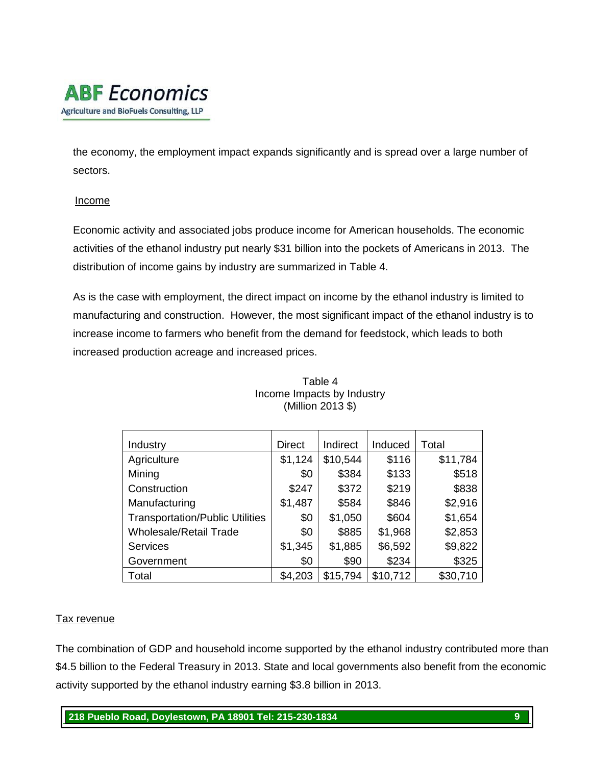# **ABF** Economics Agriculture and BioFuels Consulting, LLP

the economy, the employment impact expands significantly and is spread over a large number of sectors.

#### Income

Economic activity and associated jobs produce income for American households. The economic activities of the ethanol industry put nearly \$31 billion into the pockets of Americans in 2013. The distribution of income gains by industry are summarized in Table 4.

As is the case with employment, the direct impact on income by the ethanol industry is limited to manufacturing and construction. However, the most significant impact of the ethanol industry is to increase income to farmers who benefit from the demand for feedstock, which leads to both increased production acreage and increased prices.

| Industry                               | <b>Direct</b> | Indirect | Induced  | Total    |
|----------------------------------------|---------------|----------|----------|----------|
| Agriculture                            | \$1,124       | \$10,544 | \$116    | \$11,784 |
| Mining                                 | \$0           | \$384    | \$133    | \$518    |
| Construction                           | \$247         | \$372    | \$219    | \$838    |
| Manufacturing                          | \$1,487       | \$584    | \$846    | \$2,916  |
| <b>Transportation/Public Utilities</b> | \$0           | \$1,050  | \$604    | \$1,654  |
| <b>Wholesale/Retail Trade</b>          | \$0           | \$885    | \$1,968  | \$2,853  |
| <b>Services</b>                        | \$1,345       | \$1,885  | \$6,592  | \$9,822  |
| Government                             | \$0           | \$90     | \$234    | \$325    |
| Total                                  | \$4,203       | \$15,794 | \$10,712 | \$30,710 |

#### Table 4 Income Impacts by Industry (Million 2013 \$)

### Tax revenue

The combination of GDP and household income supported by the ethanol industry contributed more than \$4.5 billion to the Federal Treasury in 2013. State and local governments also benefit from the economic activity supported by the ethanol industry earning \$3.8 billion in 2013.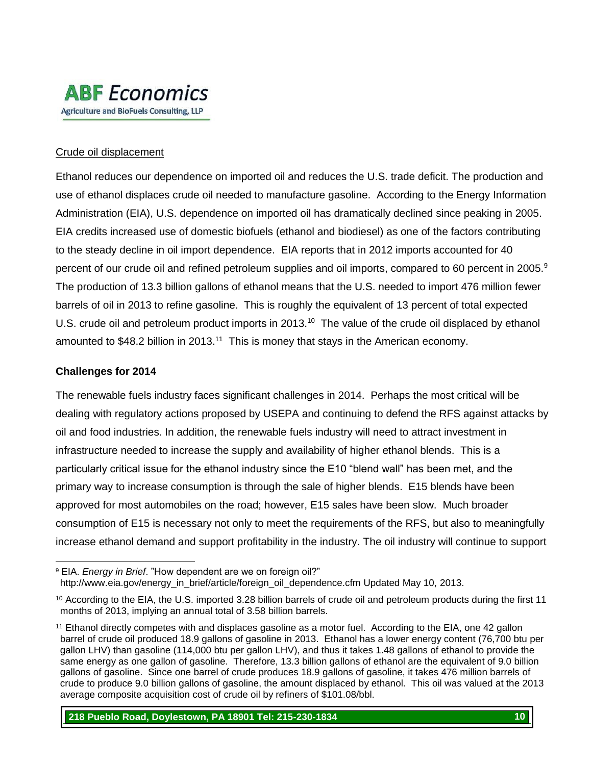

#### Crude oil displacement

Ethanol reduces our dependence on imported oil and reduces the U.S. trade deficit. The production and use of ethanol displaces crude oil needed to manufacture gasoline. According to the Energy Information Administration (EIA), U.S. dependence on imported oil has dramatically declined since peaking in 2005. EIA credits increased use of domestic biofuels (ethanol and biodiesel) as one of the factors contributing to the steady decline in oil import dependence. EIA reports that in 2012 imports accounted for 40 percent of our crude oil and refined petroleum supplies and oil imports, compared to 60 percent in 2005.<sup>9</sup> The production of 13.3 billion gallons of ethanol means that the U.S. needed to import 476 million fewer barrels of oil in 2013 to refine gasoline. This is roughly the equivalent of 13 percent of total expected U.S. crude oil and petroleum product imports in 2013.<sup>10</sup> The value of the crude oil displaced by ethanol amounted to \$48.2 billion in 2013.<sup>11</sup> This is money that stays in the American economy.

#### **Challenges for 2014**

The renewable fuels industry faces significant challenges in 2014. Perhaps the most critical will be dealing with regulatory actions proposed by USEPA and continuing to defend the RFS against attacks by oil and food industries. In addition, the renewable fuels industry will need to attract investment in infrastructure needed to increase the supply and availability of higher ethanol blends. This is a particularly critical issue for the ethanol industry since the E10 "blend wall" has been met, and the primary way to increase consumption is through the sale of higher blends. E15 blends have been approved for most automobiles on the road; however, E15 sales have been slow. Much broader consumption of E15 is necessary not only to meet the requirements of the RFS, but also to meaningfully increase ethanol demand and support profitability in the industry. The oil industry will continue to support

l <sup>9</sup> EIA. *Energy in Brief*. "How dependent are we on foreign oil?" http://www.eia.gov/energy\_in\_brief/article/foreign\_oil\_dependence.cfm Updated May 10, 2013.

<sup>&</sup>lt;sup>10</sup> According to the EIA, the U.S. imported 3.28 billion barrels of crude oil and petroleum products during the first 11 months of 2013, implying an annual total of 3.58 billion barrels.

<sup>&</sup>lt;sup>11</sup> Ethanol directly competes with and displaces gasoline as a motor fuel. According to the EIA, one 42 gallon barrel of crude oil produced 18.9 gallons of gasoline in 2013. Ethanol has a lower energy content (76,700 btu per gallon LHV) than gasoline (114,000 btu per gallon LHV), and thus it takes 1.48 gallons of ethanol to provide the same energy as one gallon of gasoline. Therefore, 13.3 billion gallons of ethanol are the equivalent of 9.0 billion gallons of gasoline. Since one barrel of crude produces 18.9 gallons of gasoline, it takes 476 million barrels of crude to produce 9.0 billion gallons of gasoline, the amount displaced by ethanol. This oil was valued at the 2013 average composite acquisition cost of crude oil by refiners of \$101.08/bbl.